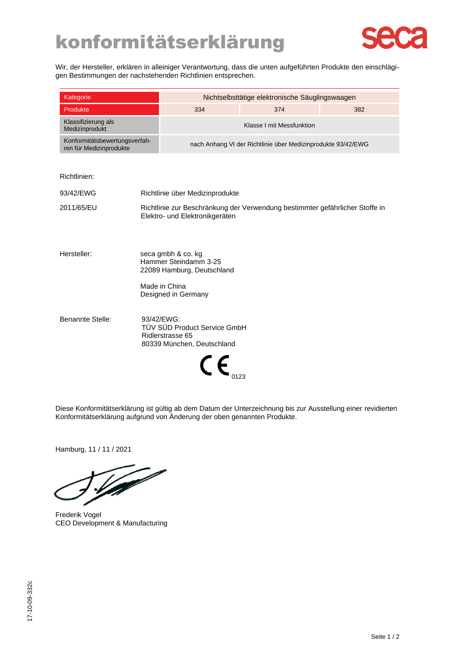

Wir, der Hersteller, erklären in alleiniger Verantwortung, dass die unten aufgeführten Produkte den einschlägigen Bestimmungen der nachstehenden Richtlinien entsprechen.

| Kategorie                                                |                                                                                                                |                                                                                              | Nichtselbsttätige elektronische Säuglingswaagen |     |
|----------------------------------------------------------|----------------------------------------------------------------------------------------------------------------|----------------------------------------------------------------------------------------------|-------------------------------------------------|-----|
| Produkte                                                 |                                                                                                                | 334                                                                                          | 374                                             | 382 |
| Klassifizierung als<br>Medizinprodukt                    |                                                                                                                |                                                                                              | Klasse I mit Messfunktion                       |     |
| Konformitätsbewertungsverfah-<br>ren für Medizinprodukte |                                                                                                                | nach Anhang VI der Richtlinie über Medizinprodukte 93/42/EWG                                 |                                                 |     |
|                                                          |                                                                                                                |                                                                                              |                                                 |     |
| Richtlinien:                                             |                                                                                                                |                                                                                              |                                                 |     |
| 93/42/EWG                                                |                                                                                                                | Richtlinie über Medizinprodukte                                                              |                                                 |     |
| 2011/65/EU                                               | Richtlinie zur Beschränkung der Verwendung bestimmter gefährlicher Stoffe in<br>Elektro- und Elektronikgeräten |                                                                                              |                                                 |     |
| Hersteller:                                              |                                                                                                                | seca gmbh & co. kg<br>Hammer Steindamm 3-25<br>22089 Hamburg, Deutschland<br>Made in China   |                                                 |     |
|                                                          |                                                                                                                | Designed in Germany                                                                          |                                                 |     |
| Benannte Stelle:                                         |                                                                                                                | 93/42/EWG:<br>TÜV SÜD Product Service GmbH<br>Ridlerstrasse 65<br>80339 München, Deutschland |                                                 |     |

Diese Konformitätserklärung ist gültig ab dem Datum der Unterzeichnung bis zur Ausstellung einer revidierten Konformitätserklärung aufgrund von Änderung der oben genannten Produkte.

Hamburg, 11 / 11 / 2021

T

Frederik Vogel CEO Development & Manufacturing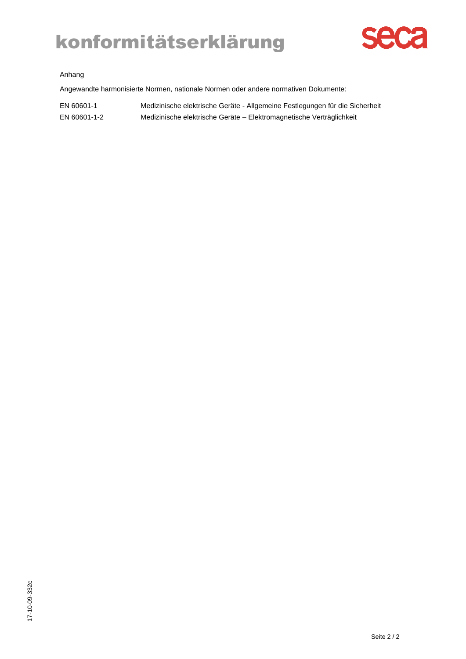# konformitätserklärung



### Anhang

Angewandte harmonisierte Normen, nationale Normen oder andere normativen Dokumente:

| EN 60601-1   | Medizinische elektrische Geräte - Allgemeine Festlegungen für die Sicherheit |
|--------------|------------------------------------------------------------------------------|
| EN 60601-1-2 | Medizinische elektrische Geräte – Elektromagnetische Verträglichkeit         |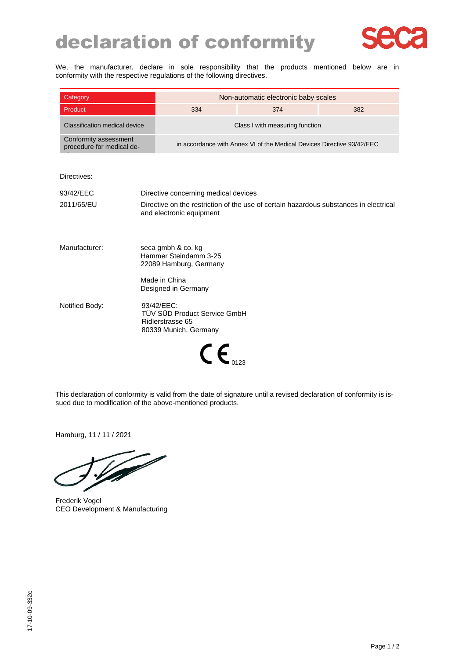### declaration of conformity



We, the manufacturer, declare in sole responsibility that the products mentioned below are in conformity with the respective regulations of the following directives.

| Category                                           | Non-automatic electronic baby scales                                   |     |     |
|----------------------------------------------------|------------------------------------------------------------------------|-----|-----|
| Product                                            | 334                                                                    | 374 | 382 |
| Classification medical device                      | Class I with measuring function                                        |     |     |
| Conformity assessment<br>procedure for medical de- | in accordance with Annex VI of the Medical Devices Directive 93/42/EEC |     |     |

Directives:

| 93/42/EEC      | Directive concerning medical devices                                                                              |
|----------------|-------------------------------------------------------------------------------------------------------------------|
| 2011/65/EU     | Directive on the restriction of the use of certain hazardous substances in electrical<br>and electronic equipment |
| Manufacturer:  | seca gmbh & co. kg<br>Hammer Steindamm 3-25<br>22089 Hamburg, Germany                                             |
|                | Made in China<br>Designed in Germany                                                                              |
| Notified Body: | 93/42/EEC:<br>TÜV SÜD Product Service GmbH<br>Ridlerstrasse 65<br>80339 Munich, Germany                           |
|                |                                                                                                                   |

This declaration of conformity is valid from the date of signature until a revised declaration of conformity is issued due to modification of the above-mentioned products.

Hamburg, 11 / 11 / 2021

T

Frederik Vogel CEO Development & Manufacturing